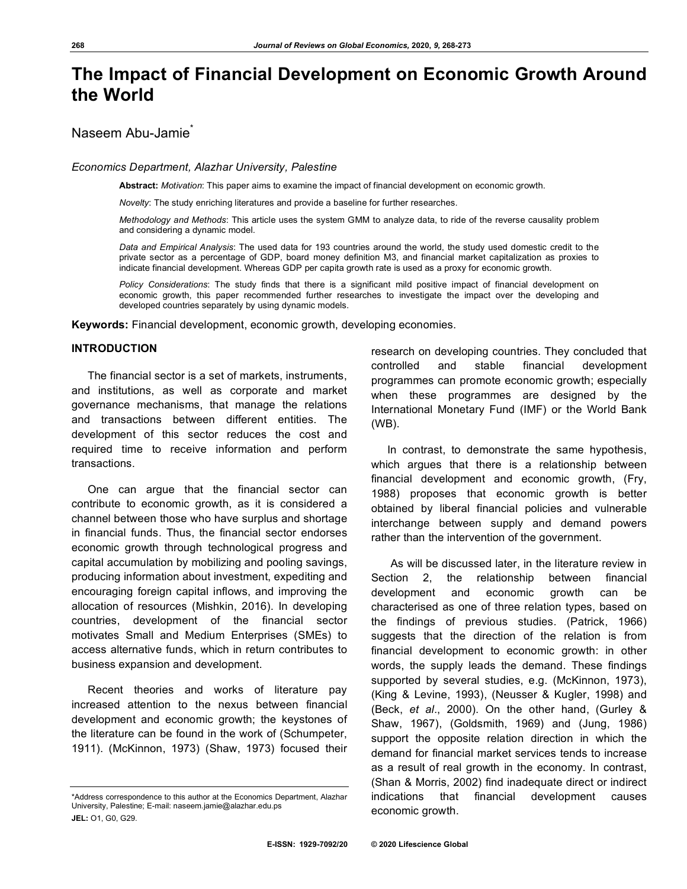# **The Impact of Financial Development on Economic Growth Around the World**

# Naseem Abu-Jamie\*

#### *Economics Department, Alazhar University, Palestine*

**Abstract:** *Motivation*: This paper aims to examine the impact of financial development on economic growth.

*Novelty*: The study enriching literatures and provide a baseline for further researches.

*Methodology and Methods*: This article uses the system GMM to analyze data, to ride of the reverse causality problem and considering a dynamic model.

*Data and Empirical Analysis*: The used data for 193 countries around the world, the study used domestic credit to the private sector as a percentage of GDP, board money definition M3, and financial market capitalization as proxies to indicate financial development. Whereas GDP per capita growth rate is used as a proxy for economic growth.

*Policy Considerations*: The study finds that there is a significant mild positive impact of financial development on economic growth, this paper recommended further researches to investigate the impact over the developing and developed countries separately by using dynamic models.

**Keywords:** Financial development, economic growth, developing economies.

## **INTRODUCTION**

The financial sector is a set of markets, instruments, and institutions, as well as corporate and market governance mechanisms, that manage the relations and transactions between different entities. The development of this sector reduces the cost and required time to receive information and perform transactions.

One can argue that the financial sector can contribute to economic growth, as it is considered a channel between those who have surplus and shortage in financial funds. Thus, the financial sector endorses economic growth through technological progress and capital accumulation by mobilizing and pooling savings, producing information about investment, expediting and encouraging foreign capital inflows, and improving the allocation of resources (Mishkin, 2016). In developing countries, development of the financial sector motivates Small and Medium Enterprises (SMEs) to access alternative funds, which in return contributes to business expansion and development.

Recent theories and works of literature pay increased attention to the nexus between financial development and economic growth; the keystones of the literature can be found in the work of (Schumpeter, 1911). (McKinnon, 1973) (Shaw, 1973) focused their

research on developing countries. They concluded that controlled and stable financial development programmes can promote economic growth; especially when these programmes are designed by the International Monetary Fund (IMF) or the World Bank (WB).

In contrast, to demonstrate the same hypothesis, which argues that there is a relationship between financial development and economic growth, (Fry, 1988) proposes that economic growth is better obtained by liberal financial policies and vulnerable interchange between supply and demand powers rather than the intervention of the government.

 As will be discussed later, in the literature review in Section 2, the relationship between financial development and economic growth can be characterised as one of three relation types, based on the findings of previous studies. (Patrick, 1966) suggests that the direction of the relation is from financial development to economic growth: in other words, the supply leads the demand. These findings supported by several studies, e.g. (McKinnon, 1973), (King & Levine, 1993), (Neusser & Kugler, 1998) and (Beck, *et al*., 2000). On the other hand, (Gurley & Shaw, 1967), (Goldsmith, 1969) and (Jung, 1986) support the opposite relation direction in which the demand for financial market services tends to increase as a result of real growth in the economy. In contrast, (Shan & Morris, 2002) find inadequate direct or indirect indications that financial development causes economic growth.

<sup>\*</sup>Address correspondence to this author at the Economics Department, Alazhar University, Palestine; E-mail: naseem.jamie@alazhar.edu.ps **JEL:** O1, G0, G29.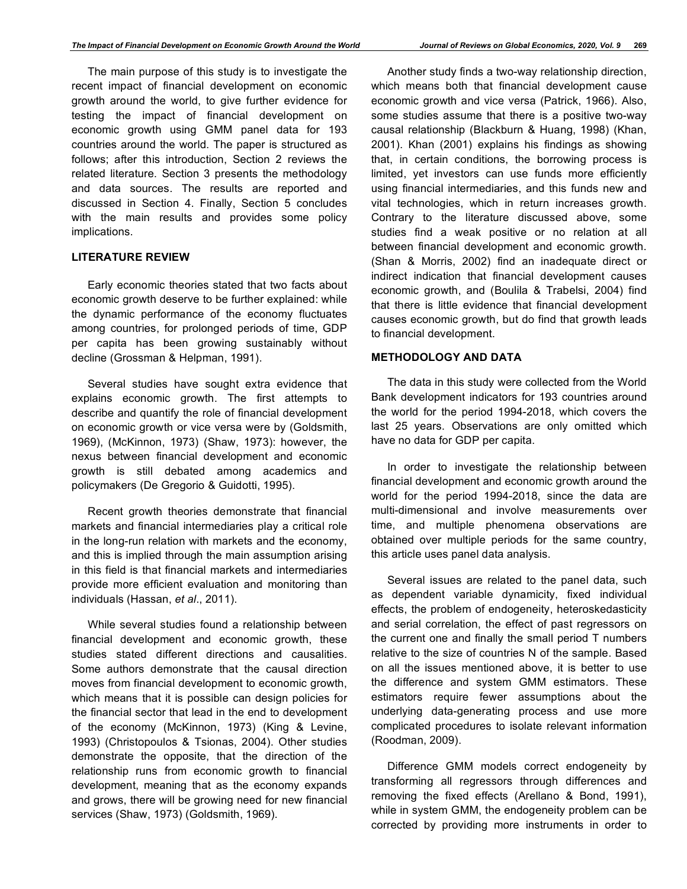The main purpose of this study is to investigate the recent impact of financial development on economic growth around the world, to give further evidence for testing the impact of financial development on economic growth using GMM panel data for 193 countries around the world. The paper is structured as follows; after this introduction, Section 2 reviews the related literature. Section 3 presents the methodology and data sources. The results are reported and discussed in Section 4. Finally, Section 5 concludes with the main results and provides some policy implications.

## **LITERATURE REVIEW**

Early economic theories stated that two facts about economic growth deserve to be further explained: while the dynamic performance of the economy fluctuates among countries, for prolonged periods of time, GDP per capita has been growing sustainably without decline (Grossman & Helpman, 1991).

Several studies have sought extra evidence that explains economic growth. The first attempts to describe and quantify the role of financial development on economic growth or vice versa were by (Goldsmith, 1969), (McKinnon, 1973) (Shaw, 1973): however, the nexus between financial development and economic growth is still debated among academics and policymakers (De Gregorio & Guidotti, 1995).

Recent growth theories demonstrate that financial markets and financial intermediaries play a critical role in the long-run relation with markets and the economy, and this is implied through the main assumption arising in this field is that financial markets and intermediaries provide more efficient evaluation and monitoring than individuals (Hassan, *et al*., 2011).

While several studies found a relationship between financial development and economic growth, these studies stated different directions and causalities. Some authors demonstrate that the causal direction moves from financial development to economic growth, which means that it is possible can design policies for the financial sector that lead in the end to development of the economy (McKinnon, 1973) (King & Levine, 1993) (Christopoulos & Tsionas, 2004). Other studies demonstrate the opposite, that the direction of the relationship runs from economic growth to financial development, meaning that as the economy expands and grows, there will be growing need for new financial services (Shaw, 1973) (Goldsmith, 1969).

Another study finds a two-way relationship direction, which means both that financial development cause economic growth and vice versa (Patrick, 1966). Also, some studies assume that there is a positive two-way causal relationship (Blackburn & Huang, 1998) (Khan, 2001). Khan (2001) explains his findings as showing that, in certain conditions, the borrowing process is limited, yet investors can use funds more efficiently using financial intermediaries, and this funds new and vital technologies, which in return increases growth. Contrary to the literature discussed above, some studies find a weak positive or no relation at all between financial development and economic growth. (Shan & Morris, 2002) find an inadequate direct or indirect indication that financial development causes economic growth, and (Boulila & Trabelsi, 2004) find that there is little evidence that financial development causes economic growth, but do find that growth leads to financial development.

### **METHODOLOGY AND DATA**

The data in this study were collected from the World Bank development indicators for 193 countries around the world for the period 1994-2018, which covers the last 25 years. Observations are only omitted which have no data for GDP per capita.

In order to investigate the relationship between financial development and economic growth around the world for the period 1994-2018, since the data are multi-dimensional and involve measurements over time, and multiple phenomena observations are obtained over multiple periods for the same country, this article uses panel data analysis.

Several issues are related to the panel data, such as dependent variable dynamicity, fixed individual effects, the problem of endogeneity, heteroskedasticity and serial correlation, the effect of past regressors on the current one and finally the small period T numbers relative to the size of countries N of the sample. Based on all the issues mentioned above, it is better to use the difference and system GMM estimators. These estimators require fewer assumptions about the underlying data-generating process and use more complicated procedures to isolate relevant information (Roodman, 2009).

Difference GMM models correct endogeneity by transforming all regressors through differences and removing the fixed effects (Arellano & Bond, 1991), while in system GMM, the endogeneity problem can be corrected by providing more instruments in order to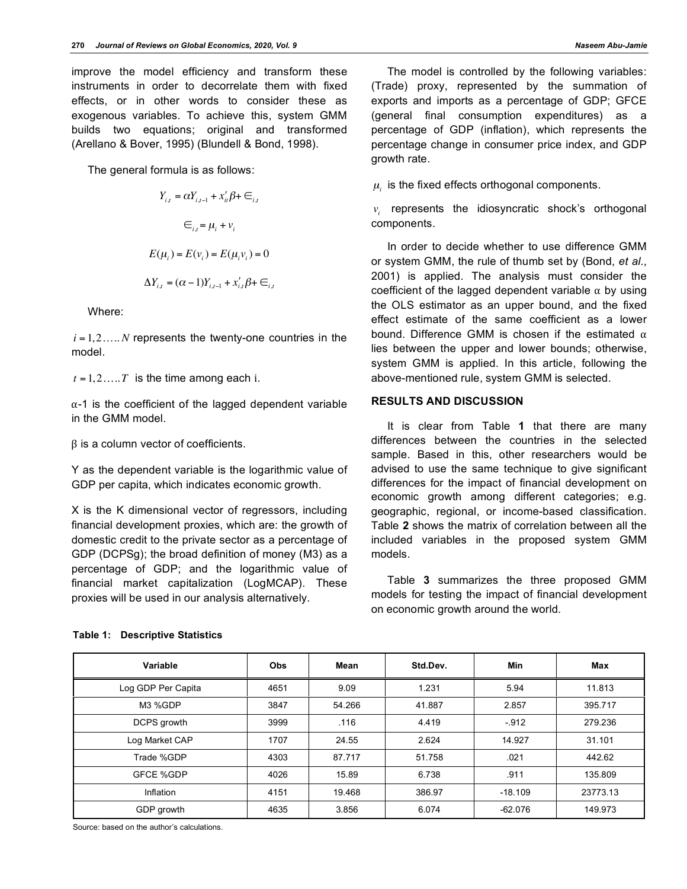improve the model efficiency and transform these instruments in order to decorrelate them with fixed effects, or in other words to consider these as exogenous variables. To achieve this, system GMM builds two equations; original and transformed (Arellano & Bover, 1995) (Blundell & Bond, 1998).

The general formula is as follows:

$$
Y_{i,t} = \alpha Y_{i,t-1} + x'_u \beta + \epsilon_{i,t}
$$

$$
\epsilon_{i,t} = \mu_i + \nu_i
$$

$$
E(\mu_i) = E(\nu_i) = E(\mu_i \nu_i) = 0
$$

$$
\Delta Y_{i,t} = (\alpha - 1)Y_{i,t-1} + x'_{i,t} \beta + \epsilon_{i,t}
$$

Where:

 $i = 1, 2, \ldots, N$  represents the twenty-one countries in the model.

 $t = 1, 2, \dots, T$  is the time among each i.

α-1 is the coefficient of the lagged dependent variable in the GMM model.

β is a column vector of coefficients.

Y as the dependent variable is the logarithmic value of GDP per capita, which indicates economic growth.

X is the K dimensional vector of regressors, including financial development proxies, which are: the growth of domestic credit to the private sector as a percentage of GDP (DCPSg); the broad definition of money (M3) as a percentage of GDP; and the logarithmic value of financial market capitalization (LogMCAP). These proxies will be used in our analysis alternatively.

The model is controlled by the following variables: (Trade) proxy, represented by the summation of exports and imports as a percentage of GDP; GFCE (general final consumption expenditures) as a percentage of GDP (inflation), which represents the percentage change in consumer price index, and GDP growth rate.

 $\mu_i$  is the fixed effects orthogonal components.

*vi* represents the idiosyncratic shock's orthogonal components.

In order to decide whether to use difference GMM or system GMM, the rule of thumb set by (Bond, *et al*., 2001) is applied. The analysis must consider the coefficient of the lagged dependent variable  $\alpha$  by using the OLS estimator as an upper bound, and the fixed effect estimate of the same coefficient as a lower bound. Difference GMM is chosen if the estimated  $α$ lies between the upper and lower bounds; otherwise, system GMM is applied. In this article, following the above-mentioned rule, system GMM is selected.

## **RESULTS AND DISCUSSION**

It is clear from Table **1** that there are many differences between the countries in the selected sample. Based in this, other researchers would be advised to use the same technique to give significant differences for the impact of financial development on economic growth among different categories; e.g. geographic, regional, or income-based classification. Table **2** shows the matrix of correlation between all the included variables in the proposed system GMM models.

Table **3** summarizes the three proposed GMM models for testing the impact of financial development on economic growth around the world.

| Variable           | <b>Obs</b> | Mean   | Std.Dev. | Min       | <b>Max</b> |
|--------------------|------------|--------|----------|-----------|------------|
| Log GDP Per Capita | 4651       | 9.09   | 1.231    | 5.94      | 11.813     |
| M3 %GDP            | 3847       | 54.266 | 41.887   | 2.857     | 395.717    |
| DCPS growth        | 3999       | .116   | 4.419    | $-912$    | 279.236    |
| Log Market CAP     | 1707       | 24.55  | 2.624    | 14.927    | 31.101     |
| Trade %GDP         | 4303       | 87.717 | 51.758   | .021      | 442.62     |
| <b>GFCE %GDP</b>   | 4026       | 15.89  | 6.738    | .911      | 135.809    |
| Inflation          | 4151       | 19.468 | 386.97   | $-18.109$ | 23773.13   |
| GDP growth         | 4635       | 3.856  | 6.074    | $-62.076$ | 149.973    |

## **Table 1: Descriptive Statistics**

Source: based on the author's calculations.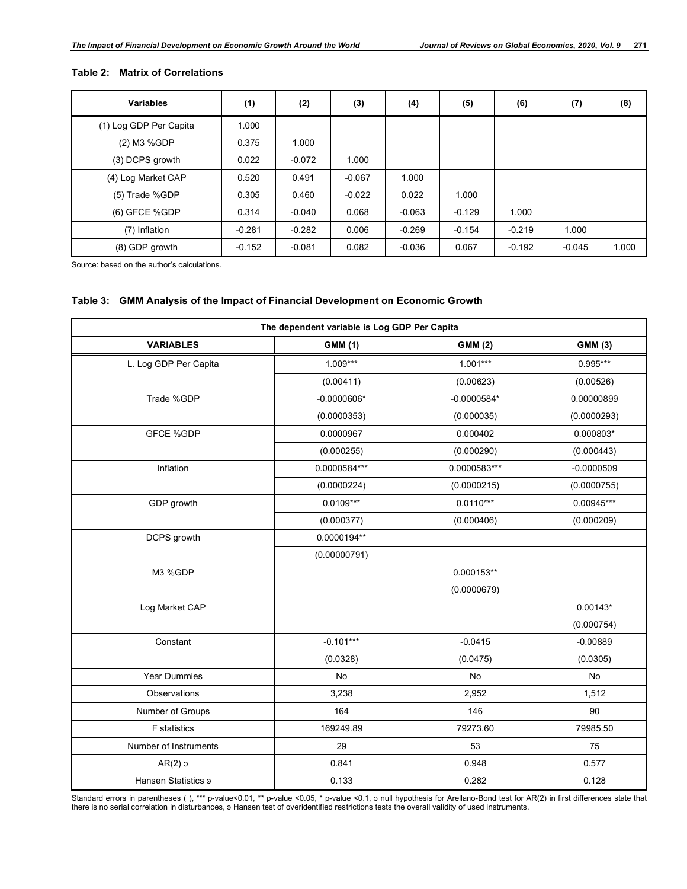| <b>Variables</b>       | (1)      | (2)      | (3)      | (4)      | (5)      | (6)      | (7)      | (8)   |
|------------------------|----------|----------|----------|----------|----------|----------|----------|-------|
| (1) Log GDP Per Capita | 1.000    |          |          |          |          |          |          |       |
| (2) M3 %GDP            | 0.375    | 1.000    |          |          |          |          |          |       |
| (3) DCPS growth        | 0.022    | $-0.072$ | 1.000    |          |          |          |          |       |
| (4) Log Market CAP     | 0.520    | 0.491    | $-0.067$ | 1.000    |          |          |          |       |
| (5) Trade %GDP         | 0.305    | 0.460    | $-0.022$ | 0.022    | 1.000    |          |          |       |
| (6) GFCE %GDP          | 0.314    | $-0.040$ | 0.068    | $-0.063$ | $-0.129$ | 1.000    |          |       |
| (7) Inflation          | $-0.281$ | $-0.282$ | 0.006    | $-0.269$ | $-0.154$ | $-0.219$ | 1.000    |       |
| (8) GDP growth         | $-0.152$ | $-0.081$ | 0.082    | $-0.036$ | 0.067    | $-0.192$ | $-0.045$ | 1.000 |

## **Table 2: Matrix of Correlations**

Source: based on the author's calculations.

## **Table 3: GMM Analysis of the Impact of Financial Development on Economic Growth**

| The dependent variable is Log GDP Per Capita |                |                |                |  |  |  |
|----------------------------------------------|----------------|----------------|----------------|--|--|--|
| <b>VARIABLES</b>                             | <b>GMM (1)</b> | <b>GMM (2)</b> | <b>GMM (3)</b> |  |  |  |
| L. Log GDP Per Capita                        | $1.009***$     | $1.001***$     | $0.995***$     |  |  |  |
|                                              | (0.00411)      | (0.00623)      | (0.00526)      |  |  |  |
| Trade %GDP                                   | $-0.0000606*$  | $-0.0000584*$  | 0.00000899     |  |  |  |
|                                              | (0.0000353)    | (0.000035)     | (0.0000293)    |  |  |  |
| <b>GFCE %GDP</b>                             | 0.0000967      | 0.000402       | $0.000803*$    |  |  |  |
|                                              | (0.000255)     | (0.000290)     | (0.000443)     |  |  |  |
| Inflation                                    | 0.0000584***   | 0.0000583***   | $-0.0000509$   |  |  |  |
|                                              | (0.0000224)    | (0.0000215)    | (0.0000755)    |  |  |  |
| GDP growth                                   | $0.0109***$    | $0.0110***$    | $0.00945***$   |  |  |  |
|                                              | (0.000377)     | (0.000406)     | (0.000209)     |  |  |  |
| DCPS growth                                  | 0.0000194**    |                |                |  |  |  |
|                                              | (0.00000791)   |                |                |  |  |  |
| M3 %GDP                                      |                | $0.000153**$   |                |  |  |  |
|                                              |                | (0.0000679)    |                |  |  |  |
| Log Market CAP                               |                |                | $0.00143*$     |  |  |  |
|                                              |                |                | (0.000754)     |  |  |  |
| Constant                                     | $-0.101***$    | $-0.0415$      | $-0.00889$     |  |  |  |
|                                              | (0.0328)       | (0.0475)       | (0.0305)       |  |  |  |
| Year Dummies                                 | No             | No             | No             |  |  |  |
| Observations                                 | 3,238          | 2,952          | 1,512          |  |  |  |
| Number of Groups                             | 164            | 146            | 90             |  |  |  |
| <b>F</b> statistics                          | 169249.89      | 79273.60       | 79985.50       |  |  |  |
| Number of Instruments                        | 29             | 53             | 75             |  |  |  |
| $AR(2)$ 3                                    | 0.841          | 0.948          | 0.577          |  |  |  |
| Hansen Statistics 3                          | 0.133          | 0.282          | 0.128          |  |  |  |

Standard errors in parentheses ( ), \*\*\* p-value<0.01, \*\* p-value <0.05, \* p-value <0.1, ɔ null hypothesis for Arellano-Bond test for AR(2) in first differences state that<br>there is no serial correlation in disturbances, э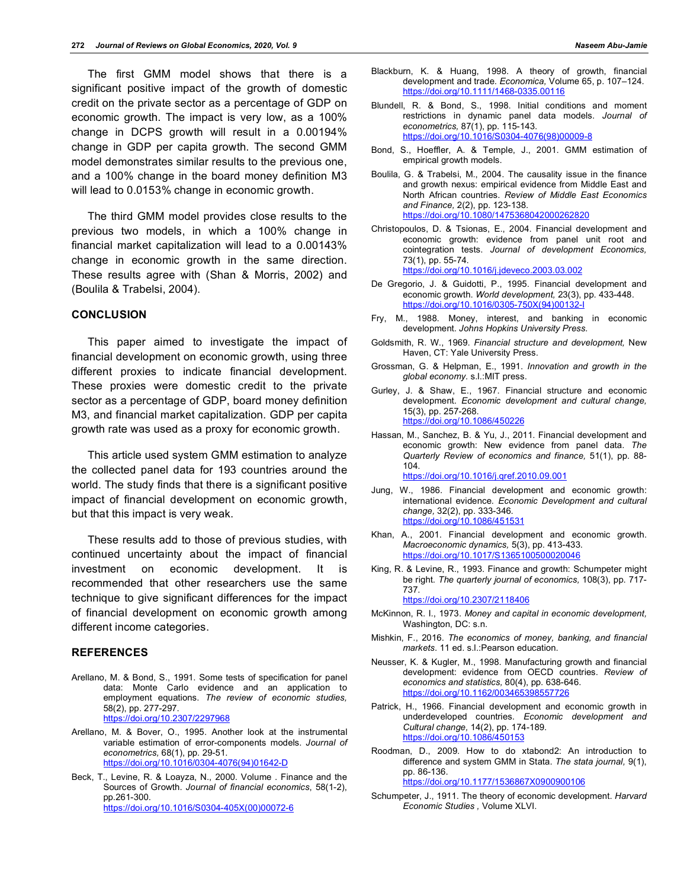The first GMM model shows that there is a significant positive impact of the growth of domestic credit on the private sector as a percentage of GDP on economic growth. The impact is very low, as a 100% change in DCPS growth will result in a 0.00194% change in GDP per capita growth. The second GMM model demonstrates similar results to the previous one, and a 100% change in the board money definition M3 will lead to 0.0153% change in economic growth.

The third GMM model provides close results to the previous two models, in which a 100% change in financial market capitalization will lead to a 0.00143% change in economic growth in the same direction. These results agree with (Shan & Morris, 2002) and (Boulila & Trabelsi, 2004).

## **CONCLUSION**

This paper aimed to investigate the impact of financial development on economic growth, using three different proxies to indicate financial development. These proxies were domestic credit to the private sector as a percentage of GDP, board money definition M3, and financial market capitalization. GDP per capita growth rate was used as a proxy for economic growth.

This article used system GMM estimation to analyze the collected panel data for 193 countries around the world. The study finds that there is a significant positive impact of financial development on economic growth, but that this impact is very weak.

These results add to those of previous studies, with continued uncertainty about the impact of financial investment on economic development. It recommended that other researchers use the same technique to give significant differences for the impact of financial development on economic growth among different income categories.

#### **REFERENCES**

- Arellano, M. & Bond, S., 1991. Some tests of specification for panel data: Monte Carlo evidence and an application to employment equations. *The review of economic studies,*  58(2), pp. 277-297. https://doi.org/10.2307/2297968
- Arellano, M. & Bover, O., 1995. Another look at the instrumental variable estimation of error-components models. *Journal of econometrics,* 68(1), pp. 29-51. https://doi.org/10.1016/0304-4076(94)01642-D
- Beck, T., Levine, R. & Loayza, N., 2000. Volume . Finance and the Sources of Growth. *Journal of financial economics*, 58(1-2), pp.261-300. https://doi.org/10.1016/S0304-405X(00)00072-6
- Blackburn, K. & Huang, 1998. A theory of growth, financial development and trade. *Economica,* Volume 65, p. 107–124. https://doi.org/10.1111/1468-0335.00116
- Blundell, R. & Bond, S., 1998. Initial conditions and moment restrictions in dynamic panel data models. *Journal of econometrics,* 87(1), pp. 115-143. https://doi.org/10.1016/S0304-4076(98)00009-8
- Bond, S., Hoeffler, A. & Temple, J., 2001. GMM estimation of empirical growth models.
- Boulila, G. & Trabelsi, M., 2004. The causality issue in the finance and growth nexus: empirical evidence from Middle East and North African countries. *Review of Middle East Economics and Finance,* 2(2), pp. 123-138. https://doi.org/10.1080/1475368042000262820
- Christopoulos, D. & Tsionas, E., 2004. Financial development and economic growth: evidence from panel unit root and cointegration tests. *Journal of development Economics,*  73(1), pp. 55-74. https://doi.org/10.1016/j.jdeveco.2003.03.002
- De Gregorio, J. & Guidotti, P., 1995. Financial development and economic growth. *World development,* 23(3), pp. 433-448. https://doi.org/10.1016/0305-750X(94)0013
- Fry, M., 1988. Money, interest, and banking in economic development. *Johns Hopkins University Press.*
- Goldsmith, R. W., 1969. *Financial structure and development,* New Haven, CT: Yale University Press.
- Grossman, G. & Helpman, E., 1991. *Innovation and growth in the global economy.* s.l.:MIT press.
- Gurley, J. & Shaw, E., 1967. Financial structure and economic development. *Economic development and cultural change,*  15(3), pp. 257-268. https://doi.org/10.1086/450226
- Hassan, M., Sanchez, B. & Yu, J., 2011. Financial development and economic growth: New evidence from panel data. *The Quarterly Review of economics and finance,* 51(1), pp. 88- 104. https://doi.org/10.1016/j.qref.2010.09.001
- Jung, W., 1986. Financial development and economic growth: international evidence*. Economic Development and cultural change,* 32(2), pp. 333-346. https://doi.org/10.1086/451531
- Khan, A., 2001. Financial development and economic growth. *Macroeconomic dynamics,* 5(3), pp. 413-433. https://doi.org/10.1017/S1365100
- King, R. & Levine, R., 1993. Finance and growth: Schumpeter might be right. *The quarterly journal of economics,* 108(3), pp. 717- 737.

https://doi.org/10.2307/2118406

- McKinnon, R. I., 1973. *Money and capital in economic development,*  Washington, DC: s.n.
- Mishkin, F., 2016. *The economics of money, banking, and financial markets*. 11 ed. s.l.:Pearson education.
- Neusser, K. & Kugler, M., 1998. Manufacturing growth and financial development: evidence from OECD countries. *Review of economics and statistics,* 80(4), pp. 638-646. https://doi.org/10.1162/003465398557726
- Patrick, H., 1966. Financial development and economic growth in underdeveloped countries. *Economic development and Cultural change,* 14(2), pp. 174-189. https://doi.org/10.1086/450153
- Roodman, D., 2009. How to do xtabond2: An introduction to difference and system GMM in Stata. *The stata journal,* 9(1), pp. 86-136. https://doi.org/10.1177/1536867X0900900106
	-
- Schumpeter, J., 1911. The theory of economic development. *Harvard Economic Studies ,* Volume XLVI.